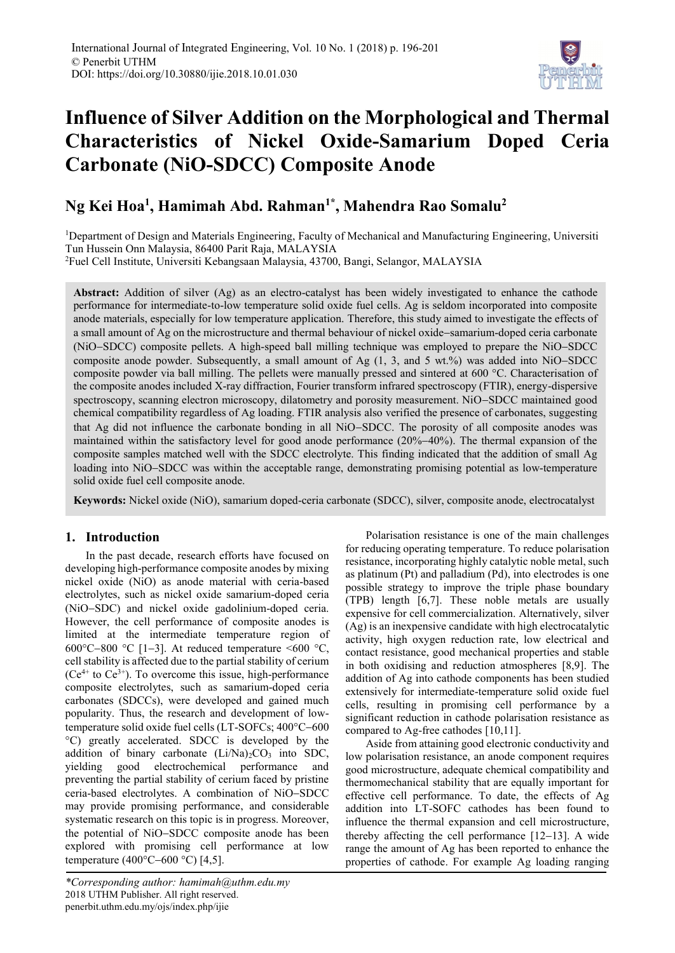

# **Influence of Silver Addition on the Morphological and Thermal Characteristics of Nickel Oxide-Samarium Doped Ceria Carbonate (NiO-SDCC) Composite Anode**

# **Ng Kei Hoa<sup>1</sup> , Hamimah Abd. Rahman1\* , Mahendra Rao Somalu<sup>2</sup>**

<sup>1</sup>Department of Design and Materials Engineering, Faculty of Mechanical and Manufacturing Engineering, Universiti Tun Hussein Onn Malaysia, 86400 Parit Raja, MALAYSIA

<sup>2</sup>Fuel Cell Institute, Universiti Kebangsaan Malaysia, 43700, Bangi, Selangor, MALAYSIA

**Abstract:** Addition of silver (Ag) as an electro-catalyst has been widely investigated to enhance the cathode performance for intermediate-to-low temperature solid oxide fuel cells. Ag is seldom incorporated into composite anode materials, especially for low temperature application. Therefore, this study aimed to investigate the effects of a small amount of Ag on the microstructure and thermal behaviour of nickel oxide-samarium-doped ceria carbonate (NiO-SDCC) composite pellets. A high-speed ball milling technique was employed to prepare the NiO-SDCC composite anode powder. Subsequently, a small amount of Ag  $(1, 3,$  and 5 wt.%) was added into NiO-SDCC composite powder via ball milling. The pellets were manually pressed and sintered at 600 °C. Characterisation of the composite anodes included X-ray diffraction, Fourier transform infrared spectroscopy (FTIR), energy-dispersive spectroscopy, scanning electron microscopy, dilatometry and porosity measurement. NiO–SDCC maintained good chemical compatibility regardless of Ag loading. FTIR analysis also verified the presence of carbonates, suggesting that Ag did not influence the carbonate bonding in all NiO-SDCC. The porosity of all composite anodes was maintained within the satisfactory level for good anode performance  $(20\%-40\%)$ . The thermal expansion of the composite samples matched well with the SDCC electrolyte. This finding indicated that the addition of small Ag loading into NiO-SDCC was within the acceptable range, demonstrating promising potential as low-temperature solid oxide fuel cell composite anode.

**Keywords:** Nickel oxide (NiO), samarium doped-ceria carbonate (SDCC), silver, composite anode, electrocatalyst

# **1. Introduction**

In the past decade, research efforts have focused on developing high-performance composite anodes by mixing nickel oxide (NiO) as anode material with ceria-based electrolytes, such as nickel oxide samarium-doped ceria (NiO-SDC) and nickel oxide gadolinium-doped ceria. However, the cell performance of composite anodes is limited at the intermediate temperature region of 600 $\degree$ C-800  $\degree$ C [1-3]. At reduced temperature <600  $\degree$ C, cell stability is affected due to the partial stability of cerium  $(Ce^{4+}$  to  $Ce^{3+}$ ). To overcome this issue, high-performance composite electrolytes, such as samarium-doped ceria carbonates (SDCCs), were developed and gained much popularity. Thus, the research and development of lowtemperature solid oxide fuel cells (LT-SOFCs;  $400^{\circ}$ C-600 °C) greatly accelerated. SDCC is developed by the addition of binary carbonate  $(Li/Na)_{2}CO_{3}$  into SDC, yielding good electrochemical performance and preventing the partial stability of cerium faced by pristine ceria-based electrolytes. A combination of NiO-SDCC may provide promising performance, and considerable systematic research on this topic is in progress. Moreover, the potential of NiO-SDCC composite anode has been explored with promising cell performance at low temperature (400 $^{\circ}$ C-600 $^{\circ}$ C) [4,5].

Polarisation resistance is one of the main challenges for reducing operating temperature. To reduce polarisation resistance, incorporating highly catalytic noble metal, such as platinum (Pt) and palladium (Pd), into electrodes is one possible strategy to improve the triple phase boundary (TPB) length [6,7]. These noble metals are usually expensive for cell commercialization. Alternatively, silver (Ag) is an inexpensive candidate with high electrocatalytic activity, high oxygen reduction rate, low electrical and contact resistance, good mechanical properties and stable in both oxidising and reduction atmospheres [8,9]. The addition of Ag into cathode components has been studied extensively for intermediate-temperature solid oxide fuel cells, resulting in promising cell performance by a significant reduction in cathode polarisation resistance as compared to Ag-free cathodes [10,11].

Aside from attaining good electronic conductivity and low polarisation resistance, an anode component requires good microstructure, adequate chemical compatibility and thermomechanical stability that are equally important for effective cell performance. To date, the effects of Ag addition into LT-SOFC cathodes has been found to influence the thermal expansion and cell microstructure, thereby affecting the cell performance  $[12-13]$ . A wide range the amount of Ag has been reported to enhance the properties of cathode. For example Ag loading ranging

*<sup>\*</sup>Corresponding author: hamimah@uthm.edu.my* 2018 UTHM Publisher. All right reserved. penerbit.uthm.edu.my/ojs/index.php/ijie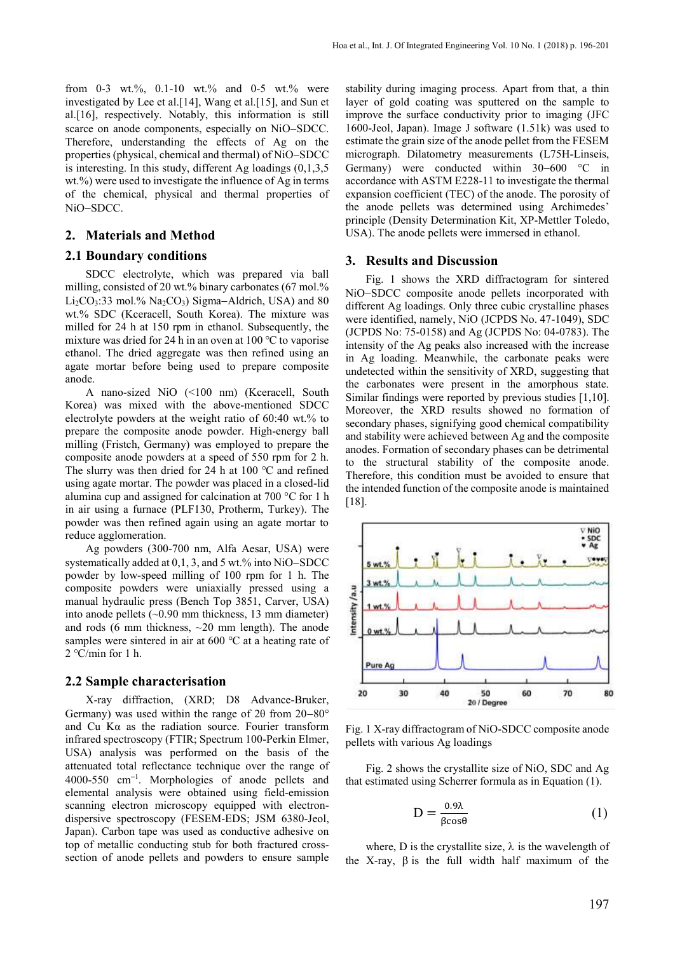from 0-3 wt.%, 0.1-10 wt.% and 0-5 wt.% were investigated by Lee et al.[14], Wang et al.[15], and Sun et al.[16], respectively. Notably, this information is still scarce on anode components, especially on NiO-SDCC. Therefore, understanding the effects of Ag on the properties (physical, chemical and thermal) of NiO–SDCC is interesting. In this study, different Ag loadings (0,1,3,5 wt.%) were used to investigate the influence of Ag in terms of the chemical, physical and thermal properties of NiO-SDCC.

#### **2. Materials and Method**

#### **2.1 Boundary conditions**

SDCC electrolyte, which was prepared via ball milling, consisted of 20 wt.% binary carbonates (67 mol.%  $Li<sub>2</sub>CO<sub>3</sub>:33$  mol.% Na<sub>2</sub>CO<sub>3</sub>) Sigma-Aldrich, USA) and 80 wt.% SDC (Kceracell, South Korea). The mixture was milled for 24 h at 150 rpm in ethanol. Subsequently, the mixture was dried for 24 h in an oven at 100 ℃ to vaporise ethanol. The dried aggregate was then refined using an agate mortar before being used to prepare composite anode.

A nano-sized NiO (<100 nm) (Kceracell, South Korea) was mixed with the above-mentioned SDCC electrolyte powders at the weight ratio of 60:40 wt.% to prepare the composite anode powder. High-energy ball milling (Fristch, Germany) was employed to prepare the composite anode powders at a speed of 550 rpm for 2 h. The slurry was then dried for 24 h at 100 ℃ and refined using agate mortar. The powder was placed in a closed-lid alumina cup and assigned for calcination at 700 °C for 1 h in air using a furnace (PLF130, Protherm, Turkey). The powder was then refined again using an agate mortar to reduce agglomeration.

Ag powders (300-700 nm, Alfa Aesar, USA) were systematically added at  $0.1$ , 3, and 5 wt.% into NiO-SDCC powder by low-speed milling of 100 rpm for 1 h. The composite powders were uniaxially pressed using a manual hydraulic press (Bench Top 3851, Carver, USA) into anode pellets (~0.90 mm thickness, 13 mm diameter) and rods (6 mm thickness,  $\sim$ 20 mm length). The anode samples were sintered in air at 600 ℃ at a heating rate of  $2^{\circ}$ C/min for 1 h.

#### **2.2 Sample characterisation**

X-ray diffraction, (XRD; D8 Advance-Bruker, Germany) was used within the range of  $2\theta$  from  $20-80^{\circ}$ and Cu Kα as the radiation source. Fourier transform infrared spectroscopy (FTIR; Spectrum 100-Perkin Elmer, USA) analysis was performed on the basis of the attenuated total reflectance technique over the range of  $4000-550$  cm<sup>-1</sup>. Morphologies of anode pellets and elemental analysis were obtained using field-emission scanning electron microscopy equipped with electrondispersive spectroscopy (FESEM-EDS; JSM 6380-Jeol, Japan). Carbon tape was used as conductive adhesive on top of metallic conducting stub for both fractured crosssection of anode pellets and powders to ensure sample

stability during imaging process. Apart from that, a thin layer of gold coating was sputtered on the sample to improve the surface conductivity prior to imaging (JFC 1600-Jeol, Japan). Image J software (1.51k) was used to estimate the grain size of the anode pellet from the FESEM micrograph. Dilatometry measurements (L75H-Linseis, Germany) were conducted within  $30-600$  °C in accordance with ASTM E228-11 to investigate the thermal expansion coefficient (TEC) of the anode. The porosity of the anode pellets was determined using Archimedes' principle (Density Determination Kit, XP-Mettler Toledo, USA). The anode pellets were immersed in ethanol.

#### **3. Results and Discussion**

Fig. 1 shows the XRD diffractogram for sintered NiO-SDCC composite anode pellets incorporated with different Ag loadings. Only three cubic crystalline phases were identified, namely, NiO (JCPDS No. 47-1049), SDC (JCPDS No: 75-0158) and Ag (JCPDS No: 04-0783). The intensity of the Ag peaks also increased with the increase in Ag loading. Meanwhile, the carbonate peaks were undetected within the sensitivity of XRD, suggesting that the carbonates were present in the amorphous state. Similar findings were reported by previous studies [1,10]. Moreover, the XRD results showed no formation of secondary phases, signifying good chemical compatibility and stability were achieved between Ag and the composite anodes. Formation of secondary phases can be detrimental to the structural stability of the composite anode. Therefore, this condition must be avoided to ensure that the intended function of the composite anode is maintained [18].



Fig. 1 X-ray diffractogram of NiO-SDCC composite anode pellets with various Ag loadings

Fig. 2 shows the crystallite size of NiO, SDC and Ag that estimated using Scherrer formula as in Equation (1).

$$
D = \frac{0.9\lambda}{\beta \cos \theta} \tag{1}
$$

where, D is the crystallite size,  $\lambda$  is the wavelength of the X-ray,  $\beta$  is the full width half maximum of the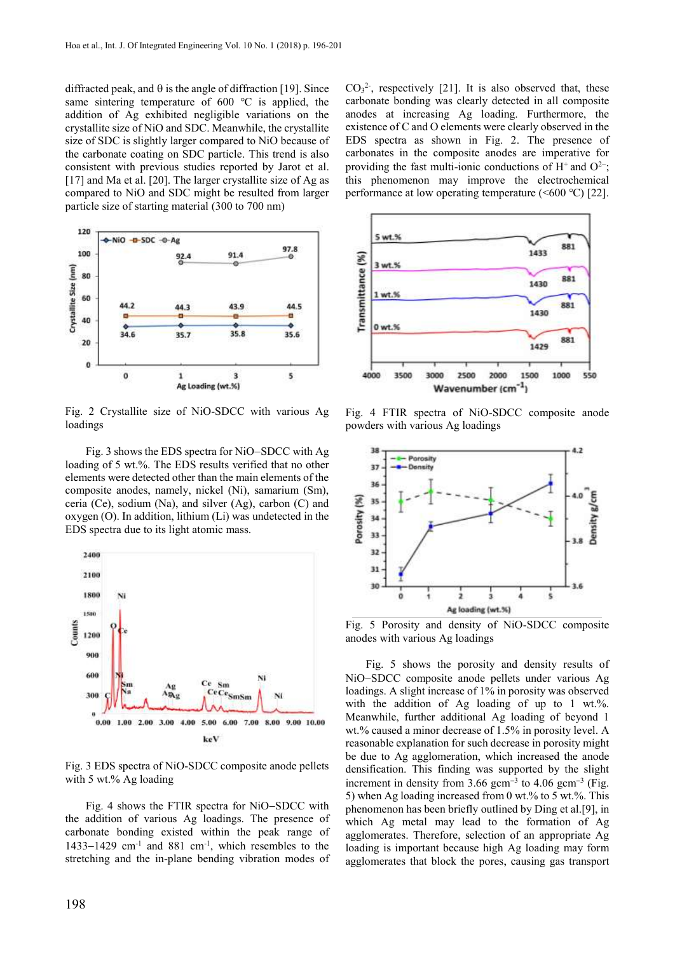diffracted peak, and  $\theta$  is the angle of diffraction [19]. Since same sintering temperature of 600 ℃ is applied, the addition of Ag exhibited negligible variations on the crystallite size of NiO and SDC. Meanwhile, the crystallite size of SDC is slightly larger compared to NiO because of the carbonate coating on SDC particle. This trend is also consistent with previous studies reported by Jarot et al. [17] and Ma et al. [20]. The larger crystallite size of Ag as compared to NiO and SDC might be resulted from larger particle size of starting material (300 to 700 nm)



Fig. 2 Crystallite size of NiO-SDCC with various Ag loadings

Fig. 3 shows the EDS spectra for NiO-SDCC with Ag loading of 5 wt.%. The EDS results verified that no other elements were detected other than the main elements of the composite anodes, namely, nickel (Ni), samarium (Sm), ceria (Ce), sodium (Na), and silver (Ag), carbon (C) and oxygen (O). In addition, lithium (Li) was undetected in the EDS spectra due to its light atomic mass.



Fig. 3 EDS spectra of NiO-SDCC composite anode pellets with 5 wt.% Ag loading

Fig. 4 shows the FTIR spectra for NiO-SDCC with the addition of various Ag loadings. The presence of carbonate bonding existed within the peak range of 1433-1429 cm<sup>-1</sup> and 881 cm<sup>-1</sup>, which resembles to the stretching and the in-plane bending vibration modes of

 $CO<sub>3</sub><sup>2</sup>$ , respectively [21]. It is also observed that, these carbonate bonding was clearly detected in all composite anodes at increasing Ag loading. Furthermore, the existence of C and O elements were clearly observed in the EDS spectra as shown in Fig. 2. The presence of carbonates in the composite anodes are imperative for providing the fast multi-ionic conductions of  $H^+$  and  $O^{2-}$ ; this phenomenon may improve the electrochemical performance at low operating temperature  $(<600 \degree C)$  [22].



Fig. 4 FTIR spectra of NiO-SDCC composite anode powders with various Ag loadings



Fig. 5 Porosity and density of NiO-SDCC composite anodes with various Ag loadings

Fig. 5 shows the porosity and density results of NiO-SDCC composite anode pellets under various Ag loadings. A slight increase of 1% in porosity was observed with the addition of Ag loading of up to 1 wt.%. Meanwhile, further additional Ag loading of beyond 1 wt.% caused a minor decrease of 1.5% in porosity level. A reasonable explanation for such decrease in porosity might be due to Ag agglomeration, which increased the anode densification. This finding was supported by the slight increment in density from  $3.66$  gcm<sup>-3</sup> to  $4.06$  gcm<sup>-3</sup> (Fig. 5) when Ag loading increased from 0 wt.% to 5 wt.%. This phenomenon has been briefly outlined by Ding et al.[9], in which Ag metal may lead to the formation of Ag agglomerates. Therefore, selection of an appropriate Ag loading is important because high Ag loading may form agglomerates that block the pores, causing gas transport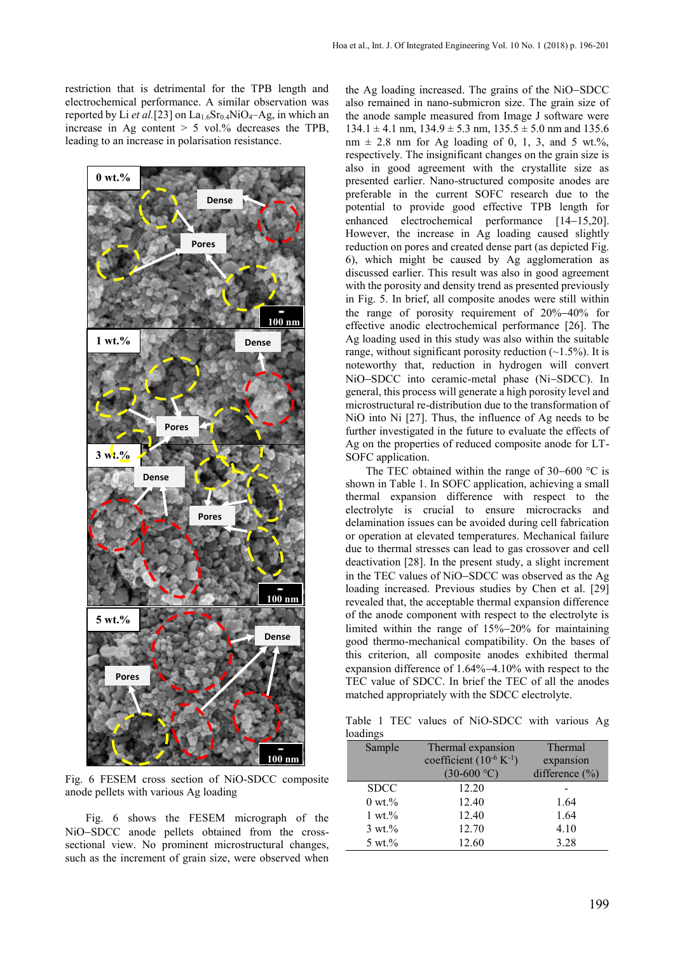restriction that is detrimental for the TPB length and electrochemical performance. A similar observation was reported by Li et al.<sup>[23]</sup> on La<sub>1.6</sub>Sr<sub>0.4</sub>NiO<sub>4</sub>-Ag, in which an increase in Ag content > 5 vol.% decreases the TPB, leading to an increase in polarisation resistance.



Fig. 6 FESEM cross section of NiO-SDCC composite anode pellets with various Ag loading

Fig. 6 shows the FESEM micrograph of the NiO-SDCC anode pellets obtained from the crosssectional view. No prominent microstructural changes, such as the increment of grain size, were observed when

the Ag loading increased. The grains of the NiO-SDCC also remained in nano-submicron size. The grain size of the anode sample measured from Image J software were  $134.1 \pm 4.1$  nm,  $134.9 \pm 5.3$  nm,  $135.5 \pm 5.0$  nm and  $135.6$  $nm \pm 2.8$  nm for Ag loading of 0, 1, 3, and 5 wt.%, respectively. The insignificant changes on the grain size is also in good agreement with the crystallite size as presented earlier. Nano-structured composite anodes are preferable in the current SOFC research due to the potential to provide good effective TPB length for enhanced electrochemical performance  $[14-15,20]$ . However, the increase in Ag loading caused slightly reduction on pores and created dense part (as depicted Fig. 6), which might be caused by Ag agglomeration as discussed earlier. This result was also in good agreement with the porosity and density trend as presented previously in Fig. 5. In brief, all composite anodes were still within the range of porosity requirement of  $20\% - 40\%$  for effective anodic electrochemical performance [26]. The Ag loading used in this study was also within the suitable range, without significant porosity reduction  $(-1.5\%)$ . It is noteworthy that, reduction in hydrogen will convert NiO-SDCC into ceramic-metal phase (Ni-SDCC). In general, this process will generate a high porosity level and microstructural re-distribution due to the transformation of NiO into Ni [27]. Thus, the influence of Ag needs to be further investigated in the future to evaluate the effects of Ag on the properties of reduced composite anode for LT-SOFC application.

The TEC obtained within the range of  $30-600$  °C is shown in Table 1. In SOFC application, achieving a small thermal expansion difference with respect to the electrolyte is crucial to ensure microcracks and delamination issues can be avoided during cell fabrication or operation at elevated temperatures. Mechanical failure due to thermal stresses can lead to gas crossover and cell deactivation [28]. In the present study, a slight increment in the TEC values of NiO-SDCC was observed as the Ag loading increased. Previous studies by Chen et al. [29] revealed that, the acceptable thermal expansion difference of the anode component with respect to the electrolyte is limited within the range of  $15\% - 20\%$  for maintaining good thermo-mechanical compatibility. On the bases of this criterion, all composite anodes exhibited thermal expansion difference of  $1.64\% - 4.10\%$  with respect to the TEC value of SDCC. In brief the TEC of all the anodes matched appropriately with the SDCC electrolyte.

Table 1 TEC values of NiO-SDCC with various Ag loadings

| Sample             | Thermal expansion              | Thermal            |
|--------------------|--------------------------------|--------------------|
|                    | coefficient $(10^{-6} K^{-1})$ | expansion          |
|                    | $(30-600 \degree C)$           | difference $(\% )$ |
| <b>SDCC</b>        | 12.20                          |                    |
| $0 \text{ wt.} \%$ | 12.40                          | 1.64               |
| $1 wt. \%$         | 12.40                          | 1.64               |
| $3 wt.$ %          | 12.70                          | 4.10               |
| $5 \text{ wt.} \%$ | 12.60                          | 3.28               |
|                    |                                |                    |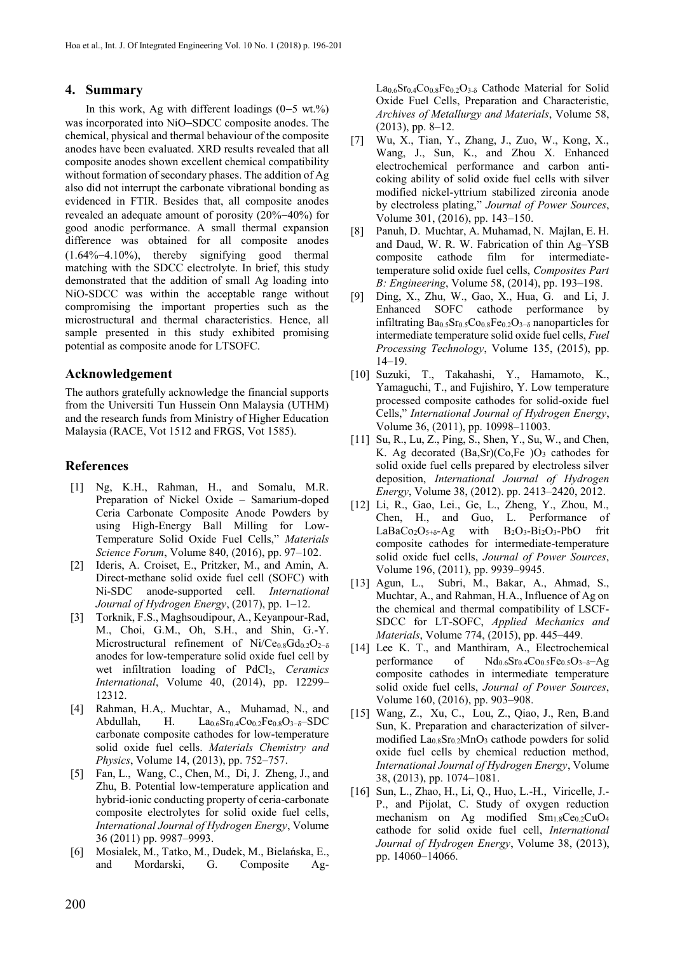## **4. Summary**

In this work, Ag with different loadings  $(0-5 \text{ wt.})$ % was incorporated into NiO–SDCC composite anodes. The chemical, physical and thermal behaviour of the composite anodes have been evaluated. XRD results revealed that all composite anodes shown excellent chemical compatibility without formation of secondary phases. The addition of Ag also did not interrupt the carbonate vibrational bonding as evidenced in FTIR. Besides that, all composite anodes revealed an adequate amount of porosity  $(20\%-40\%)$  for good anodic performance. A small thermal expansion difference was obtained for all composite anodes  $(1.64\% - 4.10\%)$ , thereby signifying good thermal matching with the SDCC electrolyte. In brief, this study demonstrated that the addition of small Ag loading into NiO-SDCC was within the acceptable range without compromising the important properties such as the microstructural and thermal characteristics. Hence, all sample presented in this study exhibited promising potential as composite anode for LTSOFC.

## **Acknowledgement**

The authors gratefully acknowledge the financial supports from the Universiti Tun Hussein Onn Malaysia (UTHM) and the research funds from Ministry of Higher Education Malaysia (RACE, Vot 1512 and FRGS, Vot 1585).

# **References**

- [1] Ng, K.H., Rahman, H., and Somalu, M.R. Preparation of Nickel Oxide – Samarium-doped Ceria Carbonate Composite Anode Powders by using High-Energy Ball Milling for Low-Temperature Solid Oxide Fuel Cells," *Materials Science Forum*, Volume 840, (2016), pp. 97–102.
- [2] Ideris, A. Croiset, E., Pritzker, M., and Amin, A. Direct-methane solid oxide fuel cell (SOFC) with Ni-SDC anode-supported cell. *International Journal of Hydrogen Energy*, (2017), pp. 1–12.
- [3] Torknik, F.S., Maghsoudipour, A., Keyanpour-Rad, M., Choi, G.M., Oh, S.H., and Shin, G.-Y. Microstructural refinement of Ni/Ce<sub>0.8</sub>Gd<sub>0.2</sub>O<sub>2−δ</sub> anodes for low-temperature solid oxide fuel cell by wet infiltration loading of PdCl2, *Ceramics International*, Volume 40, (2014), pp. 12299– 12312.
- [4] Rahman, H.A,. Muchtar, A., Muhamad, N., and Abdullah, H.  $La_{0.6}Sr_{0.4}Co_{0.2}Fe_{0.8}O_{3-\delta} - SDC$ carbonate composite cathodes for low-temperature solid oxide fuel cells. *Materials Chemistry and Physics*, Volume 14, (2013), pp. 752–757.
- [5] Fan, L., Wang, C., Chen, M., Di, J. Zheng, J., and Zhu, B. Potential low-temperature application and hybrid-ionic conducting property of ceria-carbonate composite electrolytes for solid oxide fuel cells, *International Journal of Hydrogen Energy*, Volume 36 (2011) pp. 9987–9993.
- [6] Mosialek, M., Tatko, M., Dudek, M., Bielańska, E., and Mordarski, G. Composite Ag-

 $La<sub>0.6</sub>Sr<sub>0.4</sub>Co<sub>0.8</sub>Fe<sub>0.2</sub>O<sub>3-δ</sub>$  Cathode Material for Solid Oxide Fuel Cells, Preparation and Characteristic, *Archives of Metallurgy and Materials*, Volume 58, (2013), pp. 8–12.

- [7] Wu, X., Tian, Y., Zhang, J., Zuo, W., Kong, X., Wang, J., Sun, K., and Zhou X. Enhanced electrochemical performance and carbon anticoking ability of solid oxide fuel cells with silver modified nickel-yttrium stabilized zirconia anode by electroless plating," *Journal of Power Sources*, Volume 301, (2016), pp. 143–150.
- [8] Panuh, D. Muchtar, A. Muhamad, N. Majlan, E. H. and Daud, W. R. W. Fabrication of thin Ag–YSB composite cathode film for intermediatetemperature solid oxide fuel cells, *Composites Part B: Engineering*, Volume 58, (2014), pp. 193–198.
- [9] Ding, X., Zhu, W., Gao, X., Hua, G. and Li, J. Enhanced SOFC cathode performance by infiltrating Ba0.5Sr0.5Co0.8Fe0.2O3−δ nanoparticles for intermediate temperature solid oxide fuel cells, *Fuel Processing Technology*, Volume 135, (2015), pp. 14–19.
- [10] Suzuki, T., Takahashi, Y., Hamamoto, K., Yamaguchi, T., and Fujishiro, Y. Low temperature processed composite cathodes for solid-oxide fuel Cells," *International Journal of Hydrogen Energy*, Volume 36, (2011), pp. 10998–11003.
- [11] Su, R., Lu, Z., Ping, S., Shen, Y., Su, W., and Chen, K. Ag decorated  $(Ba, Sr)(Co, Fe)O<sub>3</sub>$  cathodes for solid oxide fuel cells prepared by electroless silver deposition, *International Journal of Hydrogen Energy*, Volume 38, (2012). pp. 2413–2420, 2012.
- [12] Li, R., Gao, Lei., Ge, L., Zheng, Y., Zhou, M., Chen, H., and Guo, L. Performance of  $LaBaCo<sub>2</sub>O<sub>5+\delta</sub> - Ag$  with  $B<sub>2</sub>O<sub>3</sub> - Bi<sub>2</sub>O<sub>3</sub> - PbO$  frit composite cathodes for intermediate-temperature solid oxide fuel cells, *Journal of Power Sources*, Volume 196, (2011), pp. 9939–9945.
- [13] Agun, L., Subri, M., Bakar, A., Ahmad, S., Muchtar, A., and Rahman, H.A., Influence of Ag on the chemical and thermal compatibility of LSCF-SDCC for LT-SOFC, *Applied Mechanics and Materials*, Volume 774, (2015), pp. 445–449.
- [14] Lee K. T., and Manthiram, A., Electrochemical performance of  $Nd_{0.6}Sr_{0.4}Co_{0.5}Fe_{0.5}O_{3-\delta}-Ag$ composite cathodes in intermediate temperature solid oxide fuel cells, *Journal of Power Sources*, Volume 160, (2016), pp. 903–908.
- [15] Wang, Z., Xu, C., Lou, Z., Qiao, J., Ren, B.and Sun, K. Preparation and characterization of silvermodified  $La<sub>0.8</sub>Sr<sub>0.2</sub>MnO<sub>3</sub>$  cathode powders for solid oxide fuel cells by chemical reduction method, *International Journal of Hydrogen Energy*, Volume 38, (2013), pp. 1074–1081.
- [16] Sun, L., Zhao, H., Li, Q., Huo, L.-H., Viricelle, J.- P., and Pijolat, C. Study of oxygen reduction mechanism on Ag modified Sm<sub>1.8</sub>Ce<sub>0.2</sub>CuO<sub>4</sub> cathode for solid oxide fuel cell, *International Journal of Hydrogen Energy*, Volume 38, (2013), pp. 14060–14066.